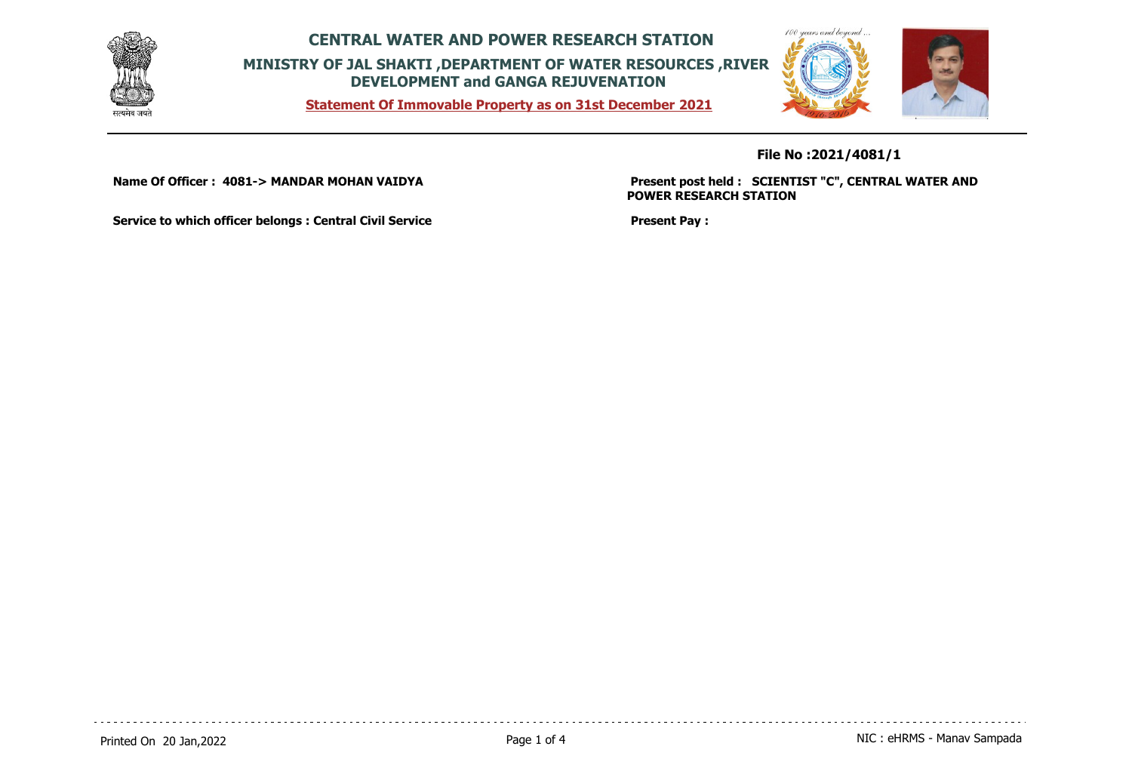

**Statement Of Immovable Property as on 31st December 2021**



**File No :2021/4081/1**

**Name Of Officer : 4081-> MANDAR MOHAN VAIDYA** 

**Present post held : SCIENTIST "C", CENTRAL WATER AND POWER RESEARCH STATION**

**Service to which officer belongs : Central Civil Service**

**Present Pay :**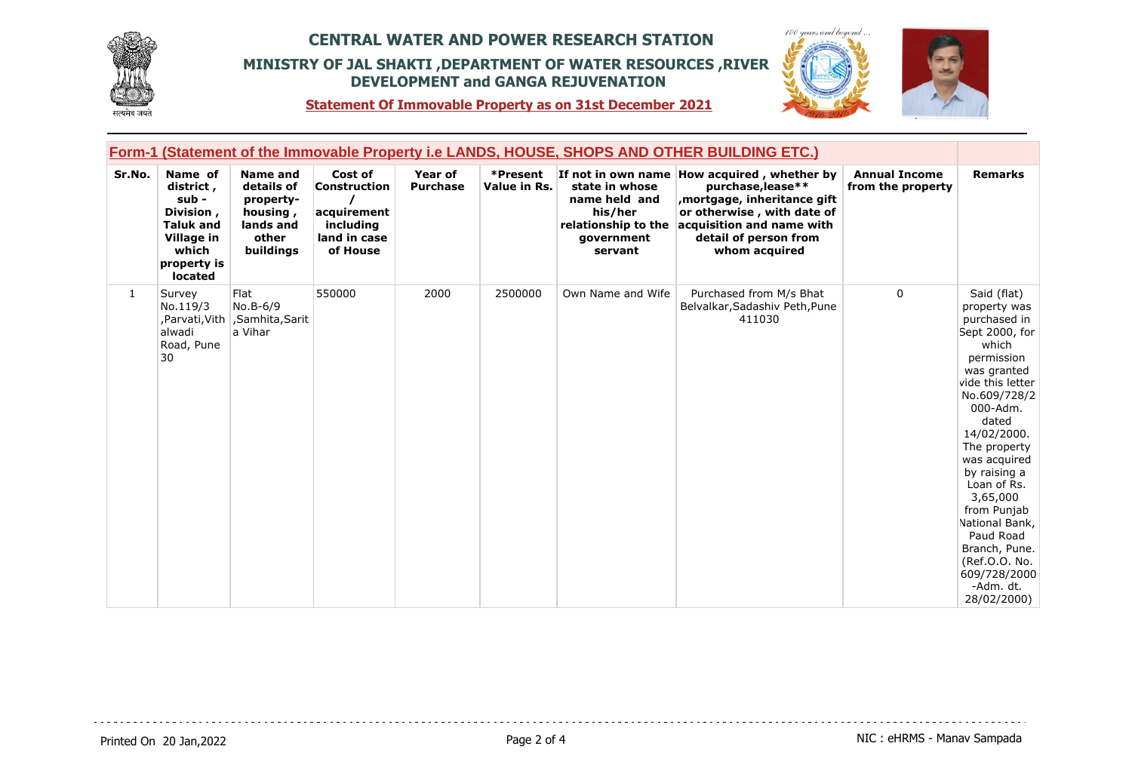





**Statement Of Immovable Property as on 31st December 2021**

| Form-1 (Statement of the Immovable Property i.e LANDS, HOUSE, SHOPS AND OTHER BUILDING ETC.) |                                                                                                                 |                                                                                           |                                                                                        |                            |                          |                                                                                            |                                                                                                                                                                                                      |                                           |                                                                                                                                                                                                                                                                                                                                                                                    |
|----------------------------------------------------------------------------------------------|-----------------------------------------------------------------------------------------------------------------|-------------------------------------------------------------------------------------------|----------------------------------------------------------------------------------------|----------------------------|--------------------------|--------------------------------------------------------------------------------------------|------------------------------------------------------------------------------------------------------------------------------------------------------------------------------------------------------|-------------------------------------------|------------------------------------------------------------------------------------------------------------------------------------------------------------------------------------------------------------------------------------------------------------------------------------------------------------------------------------------------------------------------------------|
| Sr.No.                                                                                       | Name of<br>district,<br>sub -<br>Division,<br><b>Taluk and</b><br>Village in<br>which<br>property is<br>located | <b>Name and</b><br>details of<br>property-<br>housing,<br>lands and<br>other<br>buildings | Cost of<br><b>Construction</b><br>acquirement<br>including<br>land in case<br>of House | Year of<br><b>Purchase</b> | *Present<br>Value in Rs. | state in whose<br>name held and<br>his/her<br>relationship to the<br>qovernment<br>servant | If not in own name How acquired, whether by<br>purchase, lease**<br>mortgage, inheritance gift,<br>or otherwise, with date of<br>acquisition and name with<br>detail of person from<br>whom acquired | <b>Annual Income</b><br>from the property | <b>Remarks</b>                                                                                                                                                                                                                                                                                                                                                                     |
| 1                                                                                            | Survey<br>No.119/3<br>alwadi<br>Road, Pune<br>30                                                                | Flat<br>No.B-6/9<br>,Parvati,Vith   ,Samhita,Sarit<br>a Vihar                             | 550000                                                                                 | 2000                       | 2500000                  | Own Name and Wife                                                                          | Purchased from M/s Bhat<br>Belvalkar, Sadashiv Peth, Pune<br>411030                                                                                                                                  | $\Omega$                                  | Said (flat)<br>property was<br>purchased in<br>Sept 2000, for<br>which<br>permission<br>was granted<br>vide this letter<br>No.609/728/2<br>000-Adm.<br>dated<br>14/02/2000.<br>The property<br>was acquired<br>by raising a<br>Loan of Rs.<br>3,65,000<br>from Punjab<br>National Bank,<br>Paud Road<br>Branch, Pune.<br>(Ref.O.O. No.<br>609/728/2000<br>-Adm. dt.<br>28/02/2000) |

. . . . . . . . . . . . . . . . . .

 $\sim$   $\sim$   $\sim$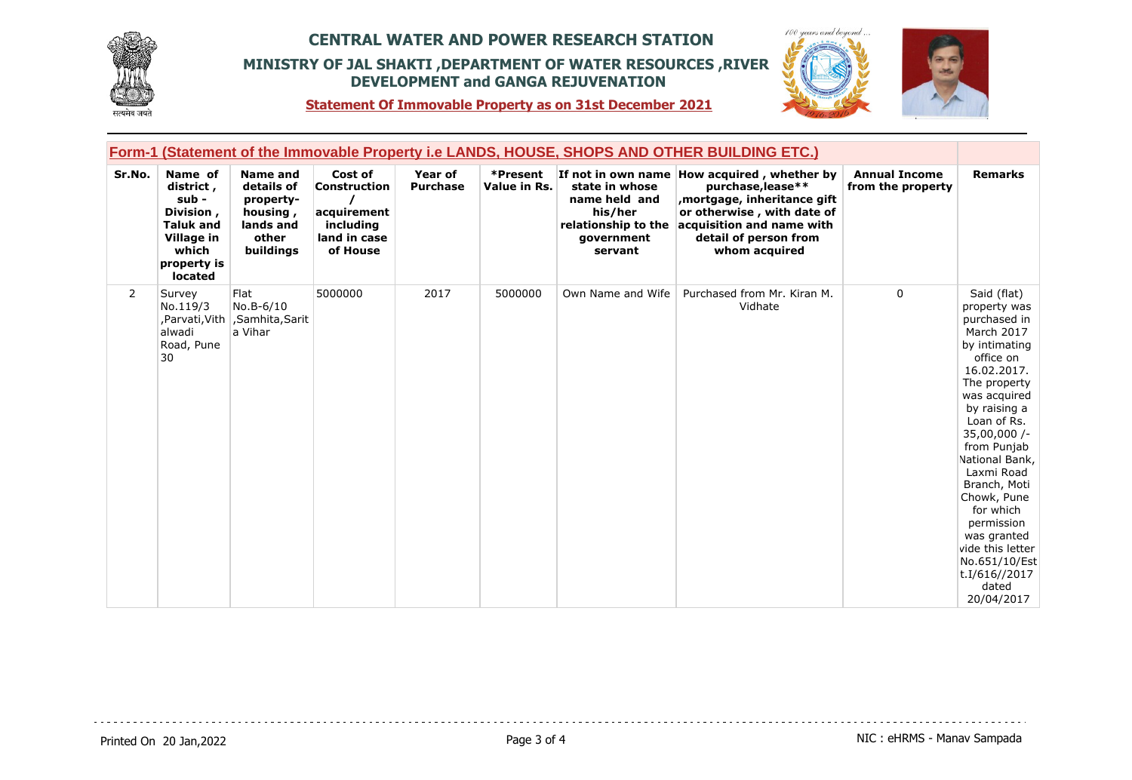





**Statement Of Immovable Property as on 31st December 2021**

| Form-1 (Statement of the Immovable Property i.e LANDS, HOUSE, SHOPS AND OTHER BUILDING ETC.) |                                                                                                                 |                                                                                           |                                                                                        |                            |                          |                                                                                            |                                                                                                                                                                                                      |                                           |                                                                                                                                                                                                                                                                                                                                                                                              |
|----------------------------------------------------------------------------------------------|-----------------------------------------------------------------------------------------------------------------|-------------------------------------------------------------------------------------------|----------------------------------------------------------------------------------------|----------------------------|--------------------------|--------------------------------------------------------------------------------------------|------------------------------------------------------------------------------------------------------------------------------------------------------------------------------------------------------|-------------------------------------------|----------------------------------------------------------------------------------------------------------------------------------------------------------------------------------------------------------------------------------------------------------------------------------------------------------------------------------------------------------------------------------------------|
| Sr.No.                                                                                       | Name of<br>district,<br>sub -<br>Division,<br><b>Taluk and</b><br>Village in<br>which<br>property is<br>located | <b>Name and</b><br>details of<br>property-<br>housing,<br>lands and<br>other<br>buildings | Cost of<br><b>Construction</b><br>acquirement<br>including<br>land in case<br>of House | Year of<br><b>Purchase</b> | *Present<br>Value in Rs. | state in whose<br>name held and<br>his/her<br>relationship to the<br>qovernment<br>servant | If not in own name How acquired, whether by<br>purchase, lease**<br>mortgage, inheritance gift,<br>or otherwise, with date of<br>acquisition and name with<br>detail of person from<br>whom acquired | <b>Annual Income</b><br>from the property | <b>Remarks</b>                                                                                                                                                                                                                                                                                                                                                                               |
| 2                                                                                            | Survey<br>No.119/3<br>,Parvati,Vith  <br>alwadi<br>Road, Pune<br>30                                             | Flat<br>No.B-6/10<br>,Samhita,Sarit<br>a Vihar                                            | 5000000                                                                                | 2017                       | 5000000                  | Own Name and Wife                                                                          | Purchased from Mr. Kiran M.<br>Vidhate                                                                                                                                                               | 0                                         | Said (flat)<br>property was<br>purchased in<br>March 2017<br>by intimating<br>office on<br>16.02.2017.<br>The property<br>was acquired<br>by raising a<br>Loan of Rs.<br>$35,00,000$ /-<br>from Punjab<br>National Bank,<br>Laxmi Road<br>Branch, Moti<br>Chowk, Pune<br>for which<br>permission<br>was granted<br>vide this letter<br>No.651/10/Est<br>t.I/616//2017<br>dated<br>20/04/2017 |

. . . . . . . . . . . . . . . . . .

 $- - - -$